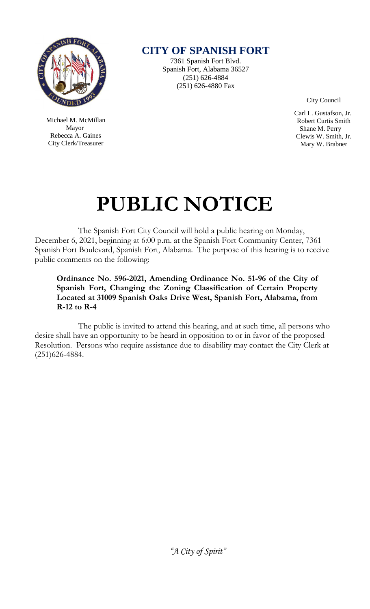

 Michael M. McMillan Mayor Rebecca A. Gaines City Clerk/Treasurer

**CITY OF SPANISH FORT**

7361 Spanish Fort Blvd. Spanish Fort, Alabama 36527 (251) 626-4884 (251) 626-4880 Fax

City Council

 Carl L. Gustafson, Jr. Robert Curtis Smith Shane M. Perry Clewis W. Smith, Jr. Mary W. Brabner

# **PUBLIC NOTICE**

The Spanish Fort City Council will hold a public hearing on Monday, December 6, 2021, beginning at 6:00 p.m. at the Spanish Fort Community Center, 7361 Spanish Fort Boulevard, Spanish Fort, Alabama. The purpose of this hearing is to receive public comments on the following:

**Ordinance No. 596-2021, Amending Ordinance No. 51-96 of the City of Spanish Fort, Changing the Zoning Classification of Certain Property Located at 31009 Spanish Oaks Drive West, Spanish Fort, Alabama, from R-12 to R-4**

The public is invited to attend this hearing, and at such time, all persons who desire shall have an opportunity to be heard in opposition to or in favor of the proposed Resolution. Persons who require assistance due to disability may contact the City Clerk at (251)626-4884.

*"A City of Spirit"*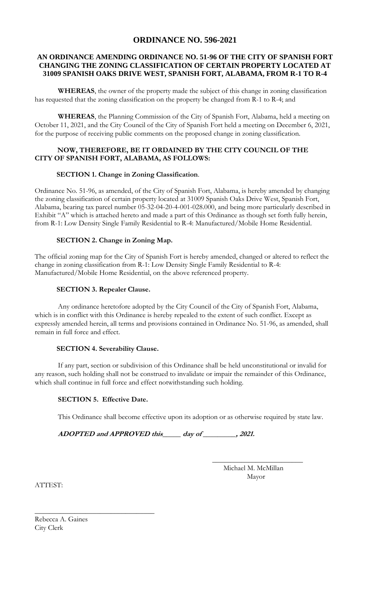## **ORDINANCE NO. 596-2021**

#### **AN ORDINANCE AMENDING ORDINANCE NO. 51-96 OF THE CITY OF SPANISH FORT CHANGING THE ZONING CLASSIFICATION OF CERTAIN PROPERTY LOCATED AT 31009 SPANISH OAKS DRIVE WEST, SPANISH FORT, ALABAMA, FROM R-1 TO R-4**

**WHEREAS**, the owner of the property made the subject of this change in zoning classification has requested that the zoning classification on the property be changed from R-1 to R-4; and

**WHEREAS**, the Planning Commission of the City of Spanish Fort, Alabama, held a meeting on October 11, 2021, and the City Council of the City of Spanish Fort held a meeting on December 6, 2021, for the purpose of receiving public comments on the proposed change in zoning classification.

#### **NOW, THEREFORE, BE IT ORDAINED BY THE CITY COUNCIL OF THE CITY OF SPANISH FORT, ALABAMA, AS FOLLOWS:**

#### **SECTION 1. Change in Zoning Classification**.

Ordinance No. 51-96, as amended, of the City of Spanish Fort, Alabama, is hereby amended by changing the zoning classification of certain property located at 31009 Spanish Oaks Drive West, Spanish Fort, Alabama, bearing tax parcel number 05-32-04-20-4-001-028.000, and being more particularly described in Exhibit "A" which is attached hereto and made a part of this Ordinance as though set forth fully herein, from R-1: Low Density Single Family Residential to R-4: Manufactured/Mobile Home Residential.

#### **SECTION 2. Change in Zoning Map.**

The official zoning map for the City of Spanish Fort is hereby amended, changed or altered to reflect the change in zoning classification from R-1: Low Density Single Family Residential to R-4: Manufactured/Mobile Home Residential, on the above referenced property.

#### **SECTION 3. Repealer Clause.**

Any ordinance heretofore adopted by the City Council of the City of Spanish Fort, Alabama, which is in conflict with this Ordinance is hereby repealed to the extent of such conflict. Except as expressly amended herein, all terms and provisions contained in Ordinance No. 51-96, as amended, shall remain in full force and effect.

#### **SECTION 4. Severability Clause.**

If any part, section or subdivision of this Ordinance shall be held unconstitutional or invalid for any reason, such holding shall not be construed to invalidate or impair the remainder of this Ordinance, which shall continue in full force and effect notwithstanding such holding.

### **SECTION 5. Effective Date.**

\_\_\_\_\_\_\_\_\_\_\_\_\_\_\_\_\_\_\_\_\_\_\_\_\_\_\_\_\_\_\_\_\_

This Ordinance shall become effective upon its adoption or as otherwise required by state law.

**ADOPTED and APPROVED this\_\_\_\_\_ day of \_\_\_\_\_\_\_\_\_, 2021.** 

 Michael M. McMillan Mayor

 **\_\_\_\_\_\_\_\_\_\_\_\_\_\_\_\_\_\_\_\_\_\_\_\_\_**

ATTEST:

Rebecca A. Gaines City Clerk